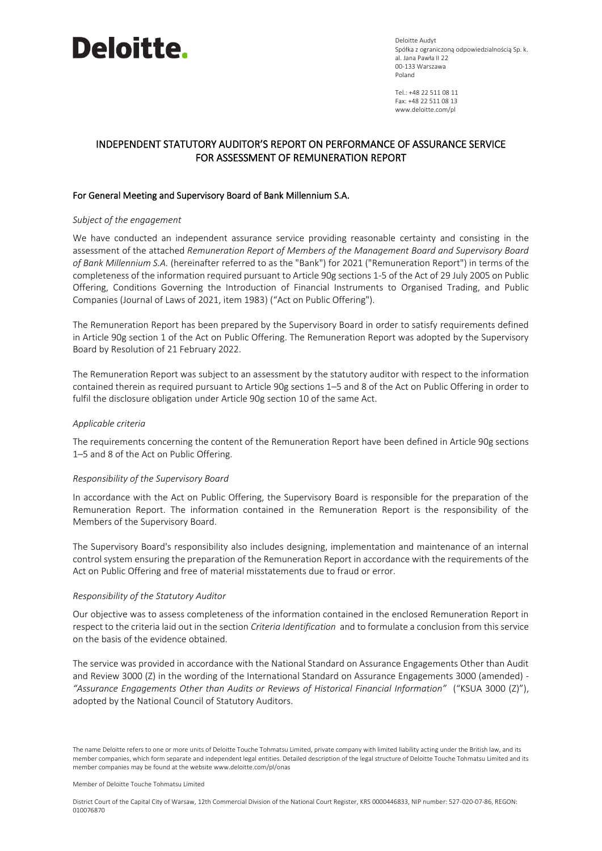

Deloitte Audyt Spółka z ograniczoną odpowiedzialnością Sp. k. al. Jana Pawła II 22 00-133 Warszawa Poland

Tel.: +48 22 511 08 11 Fax: +48 22 511 08 13 www.deloitte.com/pl

# INDEPENDENT STATUTORY AUDITOR'S REPORT ON PERFORMANCE OF ASSURANCE SERVICE FOR ASSESSMENT OF REMUNERATION REPORT

### For General Meeting and Supervisory Board of Bank Millennium S.A.

### *Subject of the engagement*

We have conducted an independent assurance service providing reasonable certainty and consisting in the assessment of the attached *Remuneration Report of Members of the Management Board and Supervisory Board of Bank Millennium S.A.* (hereinafter referred to as the "Bank") for 2021 ("Remuneration Report") in terms of the completeness of the information required pursuant to Article 90g sections 1-5 of the Act of 29 July 2005 on Public Offering, Conditions Governing the Introduction of Financial Instruments to Organised Trading, and Public Companies (Journal of Laws of 2021, item 1983) ("Act on Public Offering").

The Remuneration Report has been prepared by the Supervisory Board in order to satisfy requirements defined in Article 90g section 1 of the Act on Public Offering. The Remuneration Report was adopted by the Supervisory Board by Resolution of 21 February 2022.

The Remuneration Report was subject to an assessment by the statutory auditor with respect to the information contained therein as required pursuant to Article 90g sections 1–5 and 8 of the Act on Public Offering in order to fulfil the disclosure obligation under Article 90g section 10 of the same Act.

### *Applicable criteria*

The requirements concerning the content of the Remuneration Report have been defined in Article 90g sections 1–5 and 8 of the Act on Public Offering.

### *Responsibility of the Supervisory Board*

In accordance with the Act on Public Offering, the Supervisory Board is responsible for the preparation of the Remuneration Report. The information contained in the Remuneration Report is the responsibility of the Members of the Supervisory Board.

The Supervisory Board's responsibility also includes designing, implementation and maintenance of an internal control system ensuring the preparation of the Remuneration Report in accordance with the requirements of the Act on Public Offering and free of material misstatements due to fraud or error.

### *Responsibility of the Statutory Auditor*

Our objective was to assess completeness of the information contained in the enclosed Remuneration Report in respect to the criteria laid out in the section *Criteria Identification* and to formulate a conclusion from this service on the basis of the evidence obtained.

The service was provided in accordance with the National Standard on Assurance Engagements Other than Audit and Review 3000 (Z) in the wording of the International Standard on Assurance Engagements 3000 (amended) -*"Assurance Engagements Other than Audits or Reviews of Historical Financial Information"* ("KSUA 3000 (Z)"), adopted by the National Council of Statutory Auditors.

The name Deloitte refers to one or more units of Deloitte Touche Tohmatsu Limited, private company with limited liability acting under the British law, and its member companies, which form separate and independent legal entities. Detailed description of the legal structure of Deloitte Touche Tohmatsu Limited and its member companies may be found at the website www.deloitte.com/pl/onas

Member of Deloitte Touche Tohmatsu Limited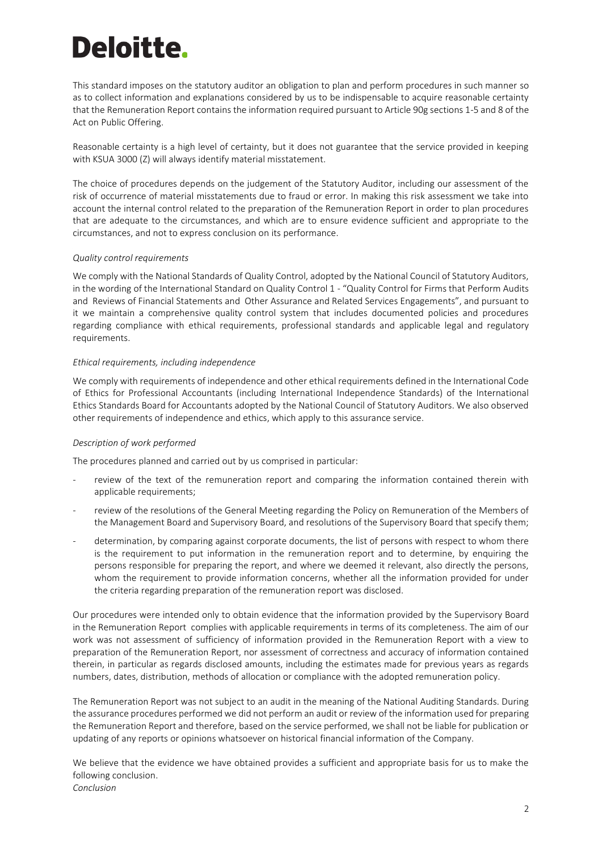# Deloitte.

This standard imposes on the statutory auditor an obligation to plan and perform procedures in such manner so as to collect information and explanations considered by us to be indispensable to acquire reasonable certainty that the Remuneration Report contains the information required pursuant to Article 90g sections 1-5 and 8 of the Act on Public Offering.

Reasonable certainty is a high level of certainty, but it does not guarantee that the service provided in keeping with KSUA 3000 (Z) will always identify material misstatement.

The choice of procedures depends on the judgement of the Statutory Auditor, including our assessment of the risk of occurrence of material misstatements due to fraud or error. In making this risk assessment we take into account the internal control related to the preparation of the Remuneration Report in order to plan procedures that are adequate to the circumstances, and which are to ensure evidence sufficient and appropriate to the circumstances, and not to express conclusion on its performance.

## *Quality control requirements*

We comply with the National Standards of Quality Control, adopted by the National Council of Statutory Auditors, in the wording of the International Standard on Quality Control 1 - "Quality Control for Firms that Perform Audits and Reviews of Financial Statements and Other Assurance and Related Services Engagements", and pursuant to it we maintain a comprehensive quality control system that includes documented policies and procedures regarding compliance with ethical requirements, professional standards and applicable legal and regulatory requirements.

## *Ethical requirements, including independence*

We comply with requirements of independence and other ethical requirements defined in the International Code of Ethics for Professional Accountants (including International Independence Standards) of the International Ethics Standards Board for Accountants adopted by the National Council of Statutory Auditors. We also observed other requirements of independence and ethics, which apply to this assurance service.

# *Description of work performed*

The procedures planned and carried out by us comprised in particular:

- review of the text of the remuneration report and comparing the information contained therein with applicable requirements;
- review of the resolutions of the General Meeting regarding the Policy on Remuneration of the Members of the Management Board and Supervisory Board, and resolutions of the Supervisory Board that specify them;
- determination, by comparing against corporate documents, the list of persons with respect to whom there is the requirement to put information in the remuneration report and to determine, by enquiring the persons responsible for preparing the report, and where we deemed it relevant, also directly the persons, whom the requirement to provide information concerns, whether all the information provided for under the criteria regarding preparation of the remuneration report was disclosed.

Our procedures were intended only to obtain evidence that the information provided by the Supervisory Board in the Remuneration Report complies with applicable requirements in terms of its completeness. The aim of our work was not assessment of sufficiency of information provided in the Remuneration Report with a view to preparation of the Remuneration Report, nor assessment of correctness and accuracy of information contained therein, in particular as regards disclosed amounts, including the estimates made for previous years as regards numbers, dates, distribution, methods of allocation or compliance with the adopted remuneration policy.

The Remuneration Report was not subject to an audit in the meaning of the National Auditing Standards. During the assurance procedures performed we did not perform an audit or review of the information used for preparing the Remuneration Report and therefore, based on the service performed, we shall not be liable for publication or updating of any reports or opinions whatsoever on historical financial information of the Company.

We believe that the evidence we have obtained provides a sufficient and appropriate basis for us to make the following conclusion. *Conclusion*